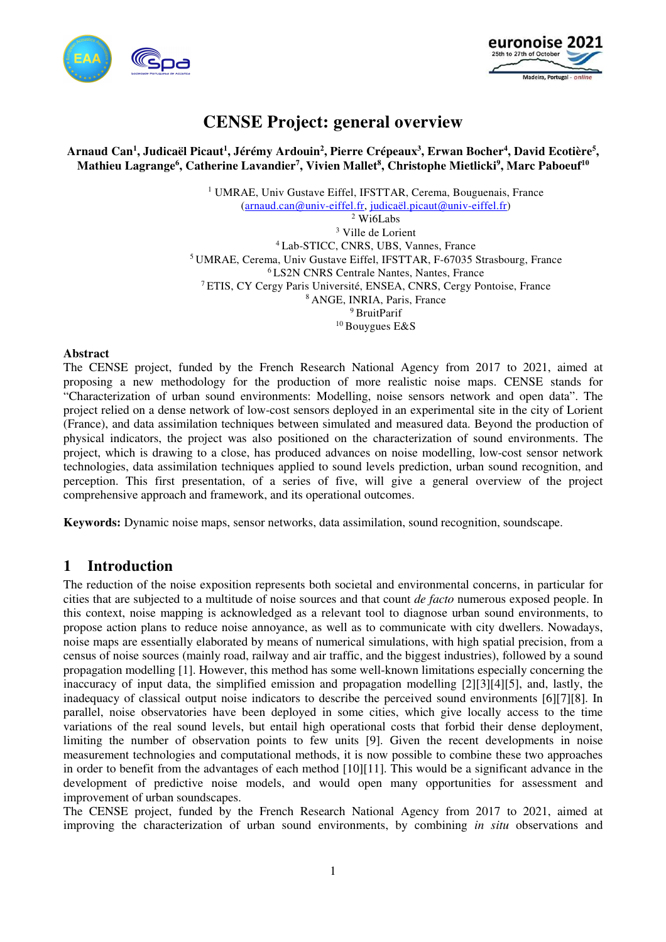



# **CENSE Project: general overview**

**Arnaud Can<sup>1</sup> , Judicaël Picaut<sup>1</sup> , Jérémy Ardouin<sup>2</sup> , Pierre Crépeaux<sup>3</sup> , Erwan Bocher<sup>4</sup> , David Ecotière<sup>5</sup> , Mathieu Lagrange<sup>6</sup> , Catherine Lavandier<sup>7</sup> , Vivien Mallet<sup>8</sup> , Christophe Mietlicki<sup>9</sup> , Marc Paboeuf<sup>10</sup>**

> <sup>1</sup> UMRAE, Univ Gustave Eiffel, IFSTTAR, Cerema, Bouguenais, France (arnaud.can@univ-eiffel.fr, judicaël.picaut@univ-eiffel.fr) Wi6Labs Ville de Lorient Lab-STICC, CNRS, UBS, Vannes, France UMRAE, Cerema, Univ Gustave Eiffel, IFSTTAR, F-67035 Strasbourg, France LS2N CNRS Centrale Nantes, Nantes, France ETIS, CY Cergy Paris Université, ENSEA, CNRS, Cergy Pontoise, France ANGE, INRIA, Paris, France <sup>9</sup> BruitParif <sup>10</sup> Bouygues E&S

#### **Abstract**

The CENSE project, funded by the French Research National Agency from 2017 to 2021, aimed at proposing a new methodology for the production of more realistic noise maps. CENSE stands for "Characterization of urban sound environments: Modelling, noise sensors network and open data". The project relied on a dense network of low-cost sensors deployed in an experimental site in the city of Lorient (France), and data assimilation techniques between simulated and measured data. Beyond the production of physical indicators, the project was also positioned on the characterization of sound environments. The project, which is drawing to a close, has produced advances on noise modelling, low-cost sensor network technologies, data assimilation techniques applied to sound levels prediction, urban sound recognition, and perception. This first presentation, of a series of five, will give a general overview of the project comprehensive approach and framework, and its operational outcomes.

**Keywords:** Dynamic noise maps, sensor networks, data assimilation, sound recognition, soundscape.

#### **1 Introduction**

The reduction of the noise exposition represents both societal and environmental concerns, in particular for cities that are subjected to a multitude of noise sources and that count *de facto* numerous exposed people. In this context, noise mapping is acknowledged as a relevant tool to diagnose urban sound environments, to propose action plans to reduce noise annoyance, as well as to communicate with city dwellers. Nowadays, noise maps are essentially elaborated by means of numerical simulations, with high spatial precision, from a census of noise sources (mainly road, railway and air traffic, and the biggest industries), followed by a sound propagation modelling [1]. However, this method has some well-known limitations especially concerning the inaccuracy of input data, the simplified emission and propagation modelling [2][3][4][5], and, lastly, the inadequacy of classical output noise indicators to describe the perceived sound environments [6][7][8]. In parallel, noise observatories have been deployed in some cities, which give locally access to the time variations of the real sound levels, but entail high operational costs that forbid their dense deployment, limiting the number of observation points to few units [9]. Given the recent developments in noise measurement technologies and computational methods, it is now possible to combine these two approaches in order to benefit from the advantages of each method [10][11]. This would be a significant advance in the development of predictive noise models, and would open many opportunities for assessment and improvement of urban soundscapes.

The CENSE project, funded by the French Research National Agency from 2017 to 2021, aimed at improving the characterization of urban sound environments, by combining *in situ* observations and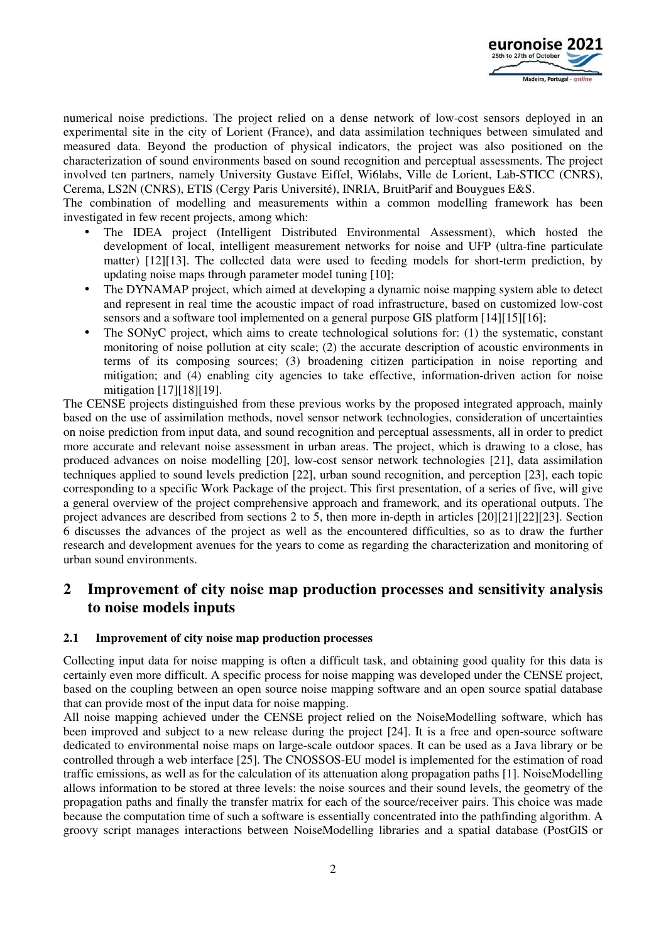

numerical noise predictions. The project relied on a dense network of low-cost sensors deployed in an experimental site in the city of Lorient (France), and data assimilation techniques between simulated and measured data. Beyond the production of physical indicators, the project was also positioned on the characterization of sound environments based on sound recognition and perceptual assessments. The project involved ten partners, namely University Gustave Eiffel, Wi6labs, Ville de Lorient, Lab-STICC (CNRS), Cerema, LS2N (CNRS), ETIS (Cergy Paris Université), INRIA, BruitParif and Bouygues E&S.

The combination of modelling and measurements within a common modelling framework has been investigated in few recent projects, among which:

- The IDEA project (Intelligent Distributed Environmental Assessment), which hosted the development of local, intelligent measurement networks for noise and UFP (ultra-fine particulate matter) [12][13]. The collected data were used to feeding models for short-term prediction, by updating noise maps through parameter model tuning [10];
- The DYNAMAP project, which aimed at developing a dynamic noise mapping system able to detect and represent in real time the acoustic impact of road infrastructure, based on customized low-cost sensors and a software tool implemented on a general purpose GIS platform [14][15][16];
- The SONyC project, which aims to create technological solutions for: (1) the systematic, constant monitoring of noise pollution at city scale; (2) the accurate description of acoustic environments in terms of its composing sources; (3) broadening citizen participation in noise reporting and mitigation; and (4) enabling city agencies to take effective, information-driven action for noise mitigation [17][18][19].

The CENSE projects distinguished from these previous works by the proposed integrated approach, mainly based on the use of assimilation methods, novel sensor network technologies, consideration of uncertainties on noise prediction from input data, and sound recognition and perceptual assessments, all in order to predict more accurate and relevant noise assessment in urban areas. The project, which is drawing to a close, has produced advances on noise modelling [20], low-cost sensor network technologies [21], data assimilation techniques applied to sound levels prediction [22], urban sound recognition, and perception [23], each topic corresponding to a specific Work Package of the project. This first presentation, of a series of five, will give a general overview of the project comprehensive approach and framework, and its operational outputs. The project advances are described from sections 2 to 5, then more in-depth in articles [20][21][22][23]. Section 6 discusses the advances of the project as well as the encountered difficulties, so as to draw the further research and development avenues for the years to come as regarding the characterization and monitoring of urban sound environments.

### **2 Improvement of city noise map production processes and sensitivity analysis to noise models inputs**

#### **2.1 Improvement of city noise map production processes**

Collecting input data for noise mapping is often a difficult task, and obtaining good quality for this data is certainly even more difficult. A specific process for noise mapping was developed under the CENSE project, based on the coupling between an open source noise mapping software and an open source spatial database that can provide most of the input data for noise mapping.

All noise mapping achieved under the CENSE project relied on the NoiseModelling software, which has been improved and subject to a new release during the project [24]. It is a free and open-source software dedicated to environmental noise maps on large-scale outdoor spaces. It can be used as a Java library or be controlled through a web interface [25]. The CNOSSOS-EU model is implemented for the estimation of road traffic emissions, as well as for the calculation of its attenuation along propagation paths [1]. NoiseModelling allows information to be stored at three levels: the noise sources and their sound levels, the geometry of the propagation paths and finally the transfer matrix for each of the source/receiver pairs. This choice was made because the computation time of such a software is essentially concentrated into the pathfinding algorithm. A groovy script manages interactions between NoiseModelling libraries and a spatial database (PostGIS or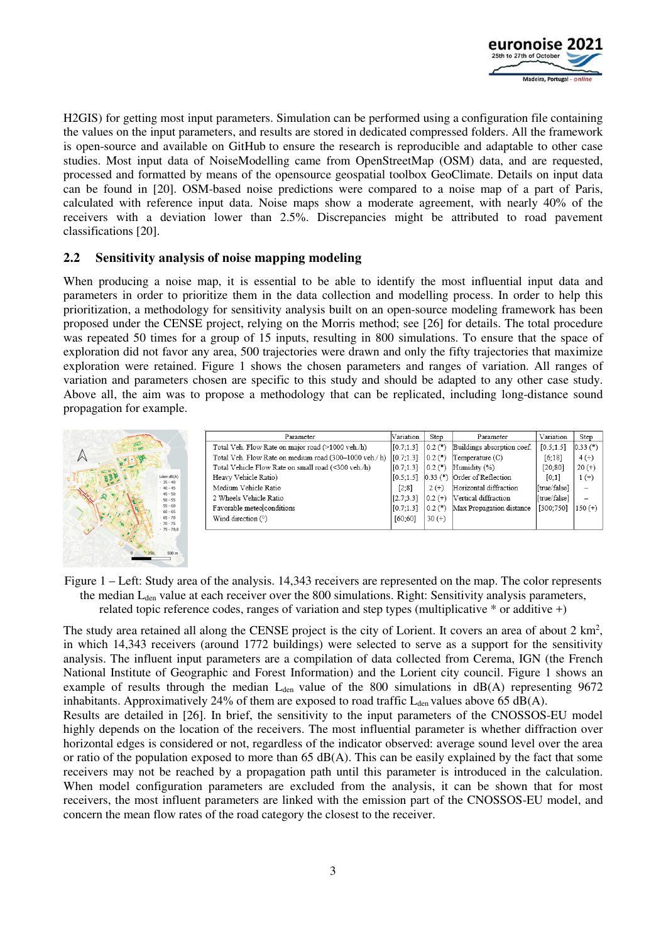

Step  $0.33^{(*)}$  $4 (+)$  $20 (+)$  $1 (+)$ 

> $\hspace{0.1mm}-\hspace{0.1mm}$  $\overline{a}$

 $150 (+)$ 

H2GIS) for getting most input parameters. Simulation can be performed using a configuration file containing the values on the input parameters, and results are stored in dedicated compressed folders. All the framework is open-source and available on GitHub to ensure the research is reproducible and adaptable to other case studies. Most input data of NoiseModelling came from OpenStreetMap (OSM) data, and are requested, processed and formatted by means of the opensource geospatial toolbox GeoClimate. Details on input data can be found in [20]. OSM-based noise predictions were compared to a noise map of a part of Paris, calculated with reference input data. Noise maps show a moderate agreement, with nearly 40% of the receivers with a deviation lower than 2.5%. Discrepancies might be attributed to road pavement classifications [20].

#### **2.2 Sensitivity analysis of noise mapping modeling**

When producing a noise map, it is essential to be able to identify the most influential input data and parameters in order to prioritize them in the data collection and modelling process. In order to help this prioritization, a methodology for sensitivity analysis built on an open-source modeling framework has been proposed under the CENSE project, relying on the Morris method; see [26] for details. The total procedure was repeated 50 times for a group of 15 inputs, resulting in 800 simulations. To ensure that the space of exploration did not favor any area, 500 trajectories were drawn and only the fifty trajectories that maximize exploration were retained. Figure 1 shows the chosen parameters and ranges of variation. All ranges of variation and parameters chosen are specific to this study and should be adapted to any other case study. Above all, the aim was to propose a methodology that can be replicated, including long-distance sound propagation for example.

|                               |                            | Parameter                                             | Variation | Step        | Parameter                    | Variation    |
|-------------------------------|----------------------------|-------------------------------------------------------|-----------|-------------|------------------------------|--------------|
|                               |                            | Total Veh. Flow Rate on major road (>1000 veh./h)     | [0.7;1.3] | $0.2$ $(*)$ | Buildings absorption coef.   | [0.5;1.5]    |
| 深<br>$\sigma$ .               |                            | Total Veh. Flow Rate on medium road (300-1000 veh./h) | [0.7:1.3] | $0.2$ $(*)$ | Temperature (C)              | [6;18]       |
| 温度                            |                            | Total Vehicle Flow Rate on small road (<300 veh./h)   | [0.7;1.3] | $0.2$ $(*)$ | Humidity (%)                 | [20;80]      |
|                               | Lden $dB(A)$<br>$.35 - 40$ | Heavy Vehicle Ratio)                                  | [0.5;1.5] |             | 0.33 (*) Order of Reflection | [0:1]        |
|                               | $.40 - 45$                 | Medium Vehicle Ratio                                  | $[2;8]$   | $2(+)$      | Horizontal diffraction       | [true/false] |
| 0.90                          | $-45 - 50$<br>$50 - 55$    | 2 Wheels Vehicle Ratio                                | [2.7:3.3] | $0.2(+)$    | Vertical diffraction         | [true/false] |
|                               | $55 - 60$<br>$60 - 65$     | Favorable meteo conditions                            | [0.7;1.3] | $0.2(*)$    | Max Propagation distance     | [300;750]    |
| $\mathcal{F}$ , $\mathcal{F}$ | $65 - 70$<br>$.70 - 75$    | Wind direction $(°)$                                  | [60;60]   | $30 (+)$    |                              |              |
|                               | $+75 - 79.8$               |                                                       |           |             |                              |              |

Figure 1 – Left: Study area of the analysis. 14,343 receivers are represented on the map. The color represents the median  $L_{den}$  value at each receiver over the 800 simulations. Right: Sensitivity analysis parameters, related topic reference codes, ranges of variation and step types (multiplicative  $*$  or additive  $+)$ )

The study area retained all along the CENSE project is the city of Lorient. It covers an area of about 2 km<sup>2</sup>, in which 14,343 receivers (around 1772 buildings) were selected to serve as a support for the sensitivity analysis. The influent input parameters are a compilation of data collected from Cerema, IGN (the French National Institute of Geographic and Forest Information) and the Lorient city council. Figure 1 shows an example of results through the median  $L_{den}$  value of the 800 simulations in  $dB(A)$  representing 9672 inhabitants. Approximatively 24% of them are exposed to road traffic  $L_{den}$  values above 65 dB(A). Results are detailed in [26]. In brief, the sensitivity to the input parameters of the CNOSSOS-EU model highly depends on the location of the receivers. The most influential parameter is whether diffraction over horizontal edges is considered or not, regardless of the indicator observed: average sound level over the area or ratio of the population exposed to more than  $65 \text{ dB}(A)$ . This can be easily explained by the fact that some receivers may not be reached by a propagation path until this parameter is introduced in the calculation. When model configuration parameters are excluded from the analysis, it can be shown that for most receivers, the most influent parameters are linked with the emission part of the CNOSSOS-EU model, and concern the mean flow rates of the road category the closest to the receiver.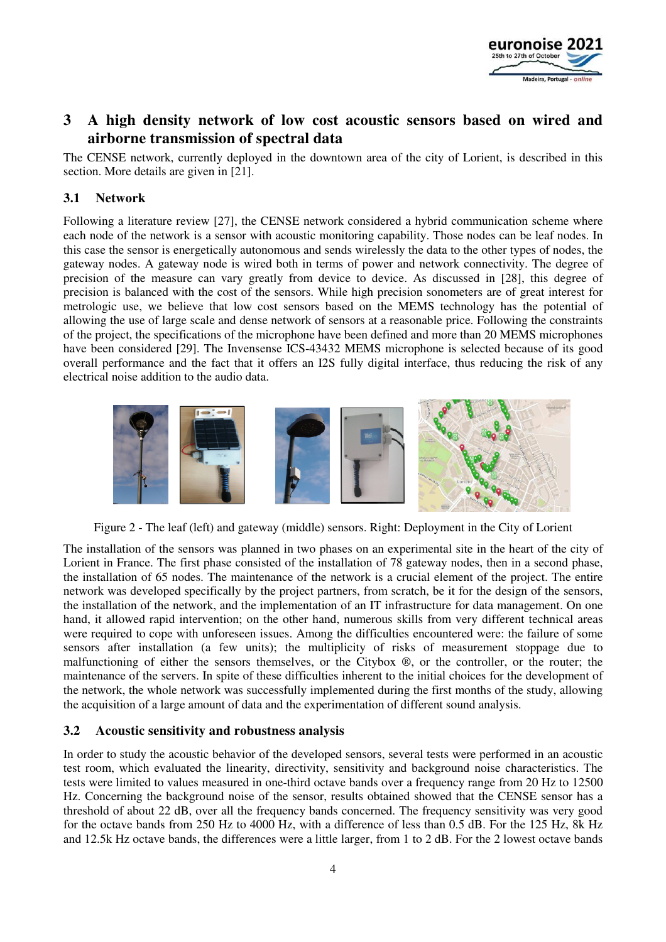

# **3 A high density network of low cost acoustic sensors based on wired and airborne transmission of spectral data**

The CENSE network, currently deployed in the downtown area of the city of Lorient, is described in this section. More details are given in [21].

### **3.1 Network**

Following a literature review [27], the CENSE network considered a hybrid communication scheme where each node of the network is a sensor with acoustic monitoring capability. Those nodes can be leaf nodes. In this case the sensor is energetically autonomous and sends wirelessly the data to the other types of nodes, the gateway nodes. A gateway node is wired both in terms of power and network connectivity. The degree of precision of the measure can vary greatly from device to device. As discussed in [28], this degree of precision is balanced with the cost of the sensors. While high precision sonometers are of great interest for metrologic use, we believe that low cost sensors based on the MEMS technology has the potential of allowing the use of large scale and dense network of sensors at a reasonable price. Following the constraints of the project, the specifications of the microphone have been defined and more than 20 MEMS microphones have been considered [29]. The Invensense ICS-43432 MEMS microphone is selected because of its good overall performance and the fact that it offers an I2S fully digital interface, thus reducing the risk of any electrical noise addition to the audio data.



Figure 2 - The leaf (left) and gateway (middle) sensors. Right: Deployment in the City of Lorient

The installation of the sensors was planned in two phases on an experimental site in the heart of the city of Lorient in France. The first phase consisted of the installation of 78 gateway nodes, then in a second phase, the installation of 65 nodes. The maintenance of the network is a crucial element of the project. The entire network was developed specifically by the project partners, from scratch, be it for the design of the sensors, the installation of the network, and the implementation of an IT infrastructure for data management. On one hand, it allowed rapid intervention; on the other hand, numerous skills from very different technical areas were required to cope with unforeseen issues. Among the difficulties encountered were: the failure of some sensors after installation (a few units); the multiplicity of risks of measurement stoppage due to malfunctioning of either the sensors themselves, or the Citybox ®, or the controller, or the router; the maintenance of the servers. In spite of these difficulties inherent to the initial choices for the development of the network, the whole network was successfully implemented during the first months of the study, allowing the acquisition of a large amount of data and the experimentation of different sound analysis.

#### **3.2 Acoustic sensitivity and robustness analysis**

In order to study the acoustic behavior of the developed sensors, several tests were performed in an acoustic test room, which evaluated the linearity, directivity, sensitivity and background noise characteristics. The tests were limited to values measured in one-third octave bands over a frequency range from 20 Hz to 12500 Hz. Concerning the background noise of the sensor, results obtained showed that the CENSE sensor has a threshold of about 22 dB, over all the frequency bands concerned. The frequency sensitivity was very good for the octave bands from 250 Hz to 4000 Hz, with a difference of less than 0.5 dB. For the 125 Hz, 8k Hz and 12.5k Hz octave bands, the differences were a little larger, from 1 to 2 dB. For the 2 lowest octave bands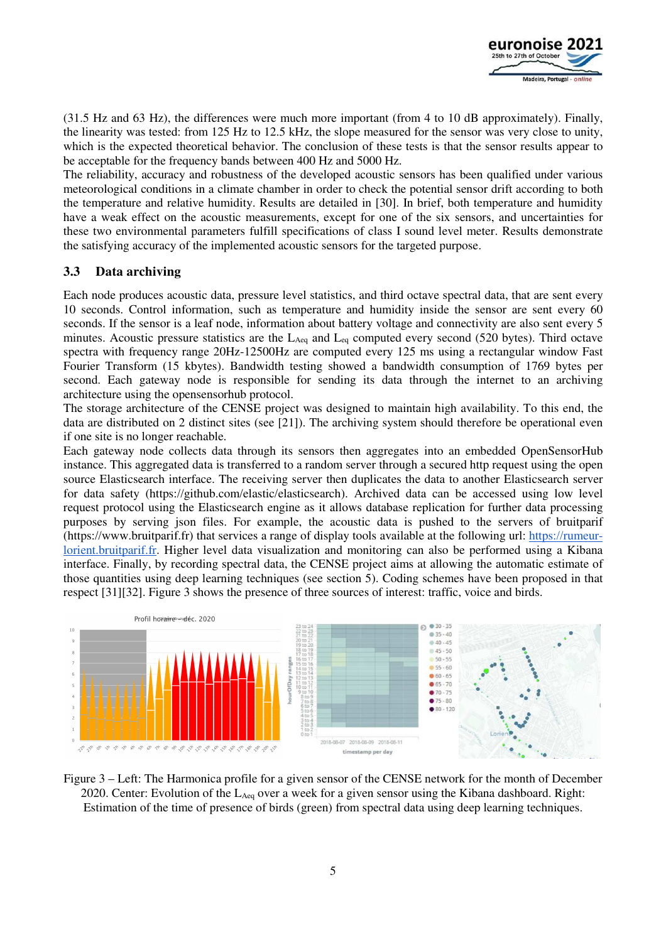

(31.5 Hz and 63 Hz), the differences were much more important (from 4 to 10 dB approximately). Finally, the linearity was tested: from 125 Hz to 12.5 kHz, the slope measured for the sensor was very close to unity, which is the expected theoretical behavior. The conclusion of these tests is that the sensor results appear to be acceptable for the frequency bands between 400 Hz and 5000 Hz.

The reliability, accuracy and robustness of the developed acoustic sensors has been qualified under various meteorological conditions in a climate chamber in order to check the potential sensor drift according to both the temperature and relative humidity. Results are detailed in [30]. In brief, both temperature and humidity have a weak effect on the acoustic measurements, except for one of the six sensors, and uncertainties for these two environmental parameters fulfill specifications of class I sound level meter. Results demonstrate the satisfying accuracy of the implemented acoustic sensors for the targeted purpose.

#### **3.3 Data archiving**

Each node produces acoustic data, pressure level statistics, and third octave spectral data, that are sent every 10 seconds. Control information, such as temperature and humidity inside the sensor are sent every 60 seconds. If the sensor is a leaf node, information about battery voltage and connectivity are also sent every 5 minutes. Acoustic pressure statistics are the  $L_{\text{Aeg}}$  and  $L_{\text{eq}}$  computed every second (520 bytes). Third octave spectra with frequency range 20Hz-12500Hz are computed every 125 ms using a rectangular window Fast Fourier Transform (15 kbytes). Bandwidth testing showed a bandwidth consumption of 1769 bytes per second. Each gateway node is responsible for sending its data through the internet to an archiving architecture using the opensensorhub protocol.

The storage architecture of the CENSE project was designed to maintain high availability. To this end, the data are distributed on 2 distinct sites (see [21]). The archiving system should therefore be operational even if one site is no longer reachable.

Each gateway node collects data through its sensors then aggregates into an embedded OpenSensorHub instance. This aggregated data is transferred to a random server through a secured http request using the open source Elasticsearch interface. The receiving server then duplicates the data to another Elasticsearch server for data safety (https://github.com/elastic/elasticsearch). Archived data can be accessed using low level request protocol using the Elasticsearch engine as it allows database replication for further data processing purposes by serving json files. For example, the acoustic data is pushed to the servers of bruitparif (https://www.bruitparif.fr) that services a range of display tools available at the following url: https://rumeurlorient.bruitparif.fr. Higher level data visualization and monitoring can also be performed using a Kibana interface. Finally, by recording spectral data, the CENSE project aims at allowing the automatic estimate of those quantities using deep learning techniques (see section 5). Coding schemes have been proposed in that respect [31][32]. Figure 3 shows the presence of three sources of interest: traffic, voice and birds.



Figure 3 – Left: The Harmonica profile for a given sensor of the CENSE network for the month of December 2020. Center: Evolution of the L<sub>Aeq</sub> over a week for a given sensor using the Kibana dashboard. Right: Estimation of the time of presence of birds (green) from spectral data using deep learning techniques.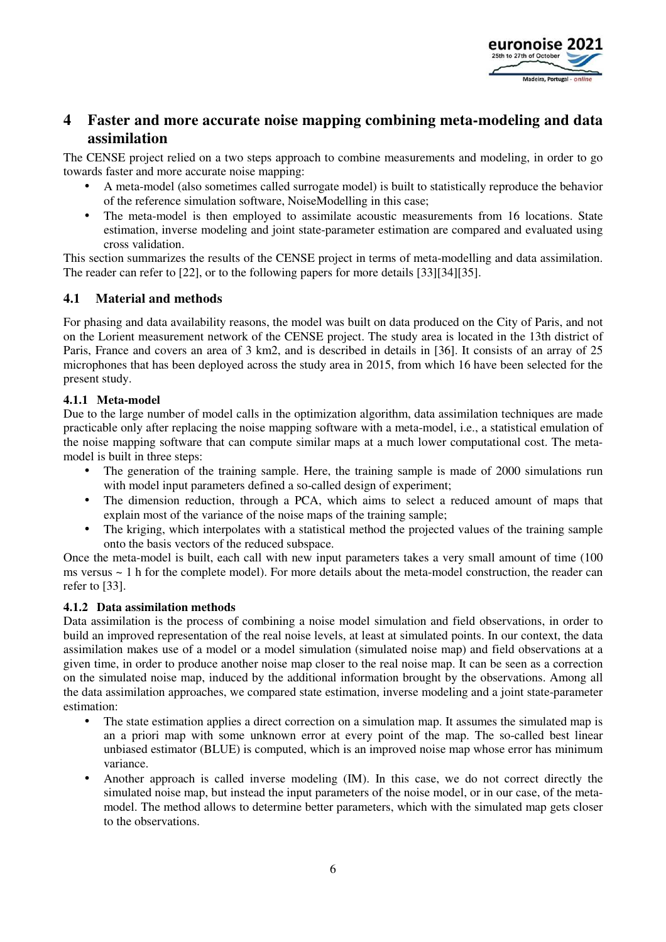

# **4 Faster and more accurate noise mapping combining meta-modeling and data assimilation**

The CENSE project relied on a two steps approach to combine measurements and modeling, in order to go towards faster and more accurate noise mapping:

- A meta-model (also sometimes called surrogate model) is built to statistically reproduce the behavior of the reference simulation software, NoiseModelling in this case;
- The meta-model is then employed to assimilate acoustic measurements from 16 locations. State estimation, inverse modeling and joint state-parameter estimation are compared and evaluated using cross validation.

This section summarizes the results of the CENSE project in terms of meta-modelling and data assimilation. The reader can refer to [22], or to the following papers for more details [33][34][35].

### **4.1 Material and methods**

For phasing and data availability reasons, the model was built on data produced on the City of Paris, and not on the Lorient measurement network of the CENSE project. The study area is located in the 13th district of Paris, France and covers an area of 3 km2, and is described in details in [36]. It consists of an array of 25 microphones that has been deployed across the study area in 2015, from which 16 have been selected for the present study.

#### **4.1.1 Meta-model**

Due to the large number of model calls in the optimization algorithm, data assimilation techniques are made practicable only after replacing the noise mapping software with a meta-model, i.e., a statistical emulation of the noise mapping software that can compute similar maps at a much lower computational cost. The metamodel is built in three steps:

- The generation of the training sample. Here, the training sample is made of 2000 simulations run with model input parameters defined a so-called design of experiment;
- The dimension reduction, through a PCA, which aims to select a reduced amount of maps that explain most of the variance of the noise maps of the training sample;
- The kriging, which interpolates with a statistical method the projected values of the training sample onto the basis vectors of the reduced subspace.

Once the meta-model is built, each call with new input parameters takes a very small amount of time (100 ms versus  $\sim$  1 h for the complete model). For more details about the meta-model construction, the reader can refer to [33].

#### **4.1.2 Data assimilation methods**

Data assimilation is the process of combining a noise model simulation and field observations, in order to build an improved representation of the real noise levels, at least at simulated points. In our context, the data assimilation makes use of a model or a model simulation (simulated noise map) and field observations at a given time, in order to produce another noise map closer to the real noise map. It can be seen as a correction on the simulated noise map, induced by the additional information brought by the observations. Among all the data assimilation approaches, we compared state estimation, inverse modeling and a joint state-parameter estimation:

- The state estimation applies a direct correction on a simulation map. It assumes the simulated map is an a priori map with some unknown error at every point of the map. The so-called best linear unbiased estimator (BLUE) is computed, which is an improved noise map whose error has minimum variance.
- Another approach is called inverse modeling (IM). In this case, we do not correct directly the simulated noise map, but instead the input parameters of the noise model, or in our case, of the metamodel. The method allows to determine better parameters, which with the simulated map gets closer to the observations.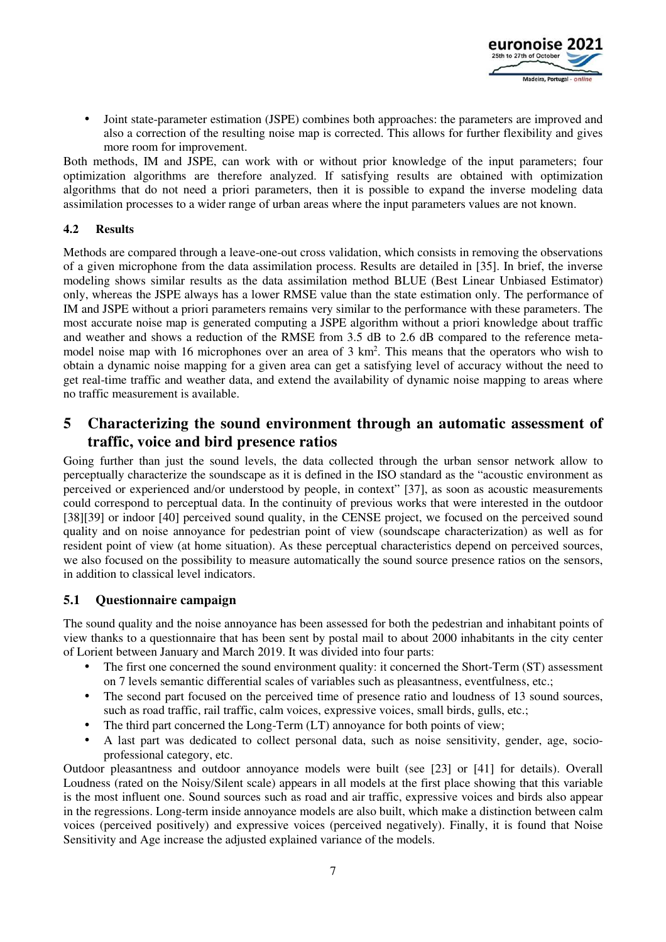

• Joint state-parameter estimation (JSPE) combines both approaches: the parameters are improved and also a correction of the resulting noise map is corrected. This allows for further flexibility and gives more room for improvement.

Both methods, IM and JSPE, can work with or without prior knowledge of the input parameters; four optimization algorithms are therefore analyzed. If satisfying results are obtained with optimization algorithms that do not need a priori parameters, then it is possible to expand the inverse modeling data assimilation processes to a wider range of urban areas where the input parameters values are not known.

#### **4.2 Results**

Methods are compared through a leave-one-out cross validation, which consists in removing the observations of a given microphone from the data assimilation process. Results are detailed in [35]. In brief, the inverse modeling shows similar results as the data assimilation method BLUE (Best Linear Unbiased Estimator) only, whereas the JSPE always has a lower RMSE value than the state estimation only. The performance of IM and JSPE without a priori parameters remains very similar to the performance with these parameters. The most accurate noise map is generated computing a JSPE algorithm without a priori knowledge about traffic and weather and shows a reduction of the RMSE from 3.5 dB to 2.6 dB compared to the reference metamodel noise map with 16 microphones over an area of 3 km<sup>2</sup>. This means that the operators who wish to obtain a dynamic noise mapping for a given area can get a satisfying level of accuracy without the need to get real-time traffic and weather data, and extend the availability of dynamic noise mapping to areas where no traffic measurement is available.

# **5 Characterizing the sound environment through an automatic assessment of traffic, voice and bird presence ratios**

Going further than just the sound levels, the data collected through the urban sensor network allow to perceptually characterize the soundscape as it is defined in the ISO standard as the "acoustic environment as perceived or experienced and/or understood by people, in context" [37], as soon as acoustic measurements could correspond to perceptual data. In the continuity of previous works that were interested in the outdoor [38][39] or indoor [40] perceived sound quality, in the CENSE project, we focused on the perceived sound quality and on noise annoyance for pedestrian point of view (soundscape characterization) as well as for resident point of view (at home situation). As these perceptual characteristics depend on perceived sources, we also focused on the possibility to measure automatically the sound source presence ratios on the sensors, in addition to classical level indicators.

#### **5.1 Questionnaire campaign**

The sound quality and the noise annoyance has been assessed for both the pedestrian and inhabitant points of view thanks to a questionnaire that has been sent by postal mail to about 2000 inhabitants in the city center of Lorient between January and March 2019. It was divided into four parts:

- The first one concerned the sound environment quality: it concerned the Short-Term (ST) assessment on 7 levels semantic differential scales of variables such as pleasantness, eventfulness, etc.;
- The second part focused on the perceived time of presence ratio and loudness of 13 sound sources, such as road traffic, rail traffic, calm voices, expressive voices, small birds, gulls, etc.;
- The third part concerned the Long-Term (LT) annoyance for both points of view;
- A last part was dedicated to collect personal data, such as noise sensitivity, gender, age, socioprofessional category, etc.

Outdoor pleasantness and outdoor annoyance models were built (see [23] or [41] for details). Overall Loudness (rated on the Noisy/Silent scale) appears in all models at the first place showing that this variable is the most influent one. Sound sources such as road and air traffic, expressive voices and birds also appear in the regressions. Long-term inside annoyance models are also built, which make a distinction between calm voices (perceived positively) and expressive voices (perceived negatively). Finally, it is found that Noise Sensitivity and Age increase the adjusted explained variance of the models.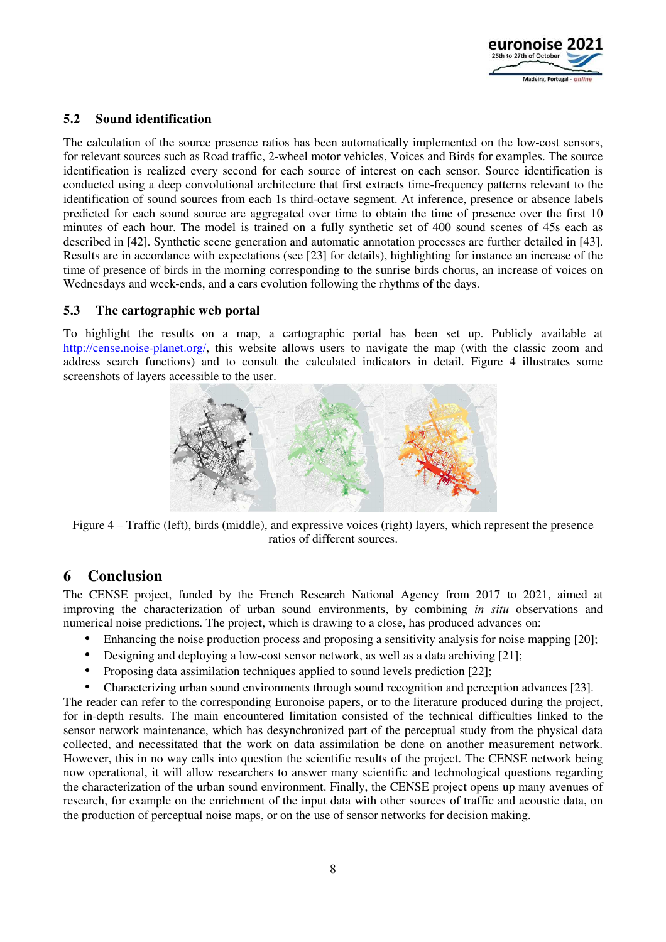

### **5.2 Sound identification**

The calculation of the source presence ratios has been automatically implemented on the low-cost sensors, for relevant sources such as Road traffic, 2-wheel motor vehicles, Voices and Birds for examples. The source identification is realized every second for each source of interest on each sensor. Source identification is conducted using a deep convolutional architecture that first extracts time-frequency patterns relevant to the identification of sound sources from each 1s third-octave segment. At inference, presence or absence labels predicted for each sound source are aggregated over time to obtain the time of presence over the first 10 minutes of each hour. The model is trained on a fully synthetic set of 400 sound scenes of 45s each as described in [42]. Synthetic scene generation and automatic annotation processes are further detailed in [43]. Results are in accordance with expectations (see [23] for details), highlighting for instance an increase of the time of presence of birds in the morning corresponding to the sunrise birds chorus, an increase of voices on Wednesdays and week-ends, and a cars evolution following the rhythms of the days.

#### **5.3 The cartographic web portal**

To highlight the results on a map, a cartographic portal has been set up. Publicly available at http://cense.noise-planet.org/, this website allows users to navigate the map (with the classic zoom and address search functions) and to consult the calculated indicators in detail. Figure 4 illustrates some screenshots of layers accessible to the user.



Figure 4 – Traffic (left), birds (middle), and expressive voices (right) layers, which represent the presence ratios of different sources.

### **6 Conclusion**

The CENSE project, funded by the French Research National Agency from 2017 to 2021, aimed at improving the characterization of urban sound environments, by combining *in situ* observations and numerical noise predictions. The project, which is drawing to a close, has produced advances on:

- Enhancing the noise production process and proposing a sensitivity analysis for noise mapping [20];
- Designing and deploying a low-cost sensor network, as well as a data archiving [21];
- Proposing data assimilation techniques applied to sound levels prediction [22];
- Characterizing urban sound environments through sound recognition and perception advances [23].

The reader can refer to the corresponding Euronoise papers, or to the literature produced during the project, for in-depth results. The main encountered limitation consisted of the technical difficulties linked to the sensor network maintenance, which has desynchronized part of the perceptual study from the physical data collected, and necessitated that the work on data assimilation be done on another measurement network. However, this in no way calls into question the scientific results of the project. The CENSE network being now operational, it will allow researchers to answer many scientific and technological questions regarding the characterization of the urban sound environment. Finally, the CENSE project opens up many avenues of research, for example on the enrichment of the input data with other sources of traffic and acoustic data, on the production of perceptual noise maps, or on the use of sensor networks for decision making.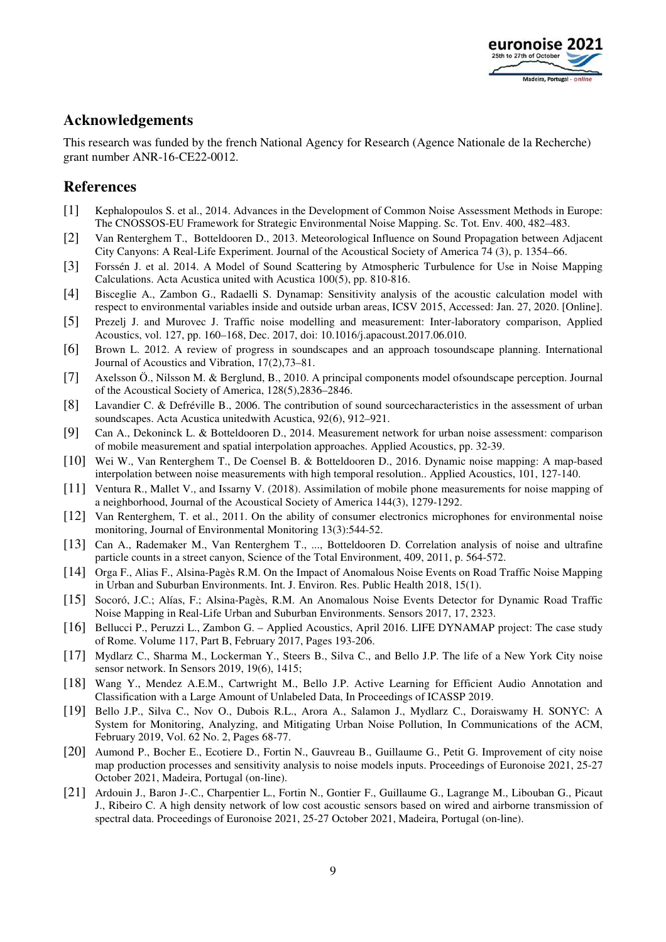

### **Acknowledgements**

This research was funded by the french National Agency for Research (Agence Nationale de la Recherche) grant number ANR-16-CE22-0012.

# **References**

- [1] Kephalopoulos S. et al., 2014. Advances in the Development of Common Noise Assessment Methods in Europe: The CNOSSOS-EU Framework for Strategic Environmental Noise Mapping. Sc. Tot. Env. 400, 482–483.
- [2] Van Renterghem T., Botteldooren D., 2013. Meteorological Influence on Sound Propagation between Adjacent City Canyons: A Real-Life Experiment. Journal of the Acoustical Society of America 74 (3), p. 1354–66.
- [3] Forssén J. et al. 2014. A Model of Sound Scattering by Atmospheric Turbulence for Use in Noise Mapping Calculations. Acta Acustica united with Acustica 100(5), pp. 810-816.
- [4] Bisceglie A., Zambon G., Radaelli S. Dynamap: Sensitivity analysis of the acoustic calculation model with respect to environmental variables inside and outside urban areas, ICSV 2015, Accessed: Jan. 27, 2020. [Online].
- [5] Prezelj J. and Murovec J. Traffic noise modelling and measurement: Inter-laboratory comparison, Applied Acoustics, vol. 127, pp. 160–168, Dec. 2017, doi: 10.1016/j.apacoust.2017.06.010.
- [6] Brown L. 2012. A review of progress in soundscapes and an approach tosoundscape planning. International Journal of Acoustics and Vibration, 17(2),73–81.
- [7] Axelsson Ö., Nilsson M. & Berglund, B., 2010. A principal components model ofsoundscape perception. Journal of the Acoustical Society of America, 128(5),2836–2846.
- [8] Lavandier C. & Defréville B., 2006. The contribution of sound sourcecharacteristics in the assessment of urban soundscapes. Acta Acustica unitedwith Acustica, 92(6), 912–921.
- [9] Can A., Dekoninck L. & Botteldooren D., 2014. Measurement network for urban noise assessment: comparison of mobile measurement and spatial interpolation approaches. Applied Acoustics, pp. 32-39.
- [10] Wei W., Van Renterghem T., De Coensel B. & Botteldooren D., 2016. Dynamic noise mapping: A map-based interpolation between noise measurements with high temporal resolution.. Applied Acoustics, 101, 127-140.
- [11] Ventura R., Mallet V., and Issarny V. (2018). Assimilation of mobile phone measurements for noise mapping of a neighborhood, Journal of the Acoustical Society of America 144(3), 1279-1292.
- [12] Van Renterghem, T. et al., 2011. On the ability of consumer electronics microphones for environmental noise monitoring, Journal of Environmental Monitoring 13(3):544-52.
- [13] Can A., Rademaker M., Van Renterghem T., ..., Botteldooren D. Correlation analysis of noise and ultrafine particle counts in a street canyon, Science of the Total Environment, 409, 2011, p. 564-572.
- [14] Orga F., Alias F., Alsina-Pagès R.M. On the Impact of Anomalous Noise Events on Road Traffic Noise Mapping in Urban and Suburban Environments. Int. J. Environ. Res. Public Health 2018, 15(1).
- [15] Socoró, J.C.; Alías, F.; Alsina-Pagès, R.M. An Anomalous Noise Events Detector for Dynamic Road Traffic Noise Mapping in Real-Life Urban and Suburban Environments. Sensors 2017, 17, 2323.
- [16] Bellucci P., Peruzzi L., Zambon G. Applied Acoustics, April 2016. LIFE DYNAMAP project: The case study of Rome. Volume 117, Part B, February 2017, Pages 193-206.
- [17] Mydlarz C., Sharma M., Lockerman Y., Steers B., Silva C., and Bello J.P. The life of a New York City noise sensor network. In Sensors 2019, 19(6), 1415;
- [18] Wang Y., Mendez A.E.M., Cartwright M., Bello J.P. Active Learning for Efficient Audio Annotation and Classification with a Large Amount of Unlabeled Data, In Proceedings of ICASSP 2019.
- [19] Bello J.P., Silva C., Nov O., Dubois R.L., Arora A., Salamon J., Mydlarz C., Doraiswamy H. SONYC: A System for Monitoring, Analyzing, and Mitigating Urban Noise Pollution, In Communications of the ACM, February 2019, Vol. 62 No. 2, Pages 68-77.
- [20] Aumond P., Bocher E., Ecotiere D., Fortin N., Gauvreau B., Guillaume G., Petit G. Improvement of city noise map production processes and sensitivity analysis to noise models inputs. Proceedings of Euronoise 2021, 25-27 October 2021, Madeira, Portugal (on-line).
- [21] Ardouin J., Baron J-.C., Charpentier L., Fortin N., Gontier F., Guillaume G., Lagrange M., Libouban G., Picaut J., Ribeiro C. A high density network of low cost acoustic sensors based on wired and airborne transmission of spectral data. Proceedings of Euronoise 2021, 25-27 October 2021, Madeira, Portugal (on-line).